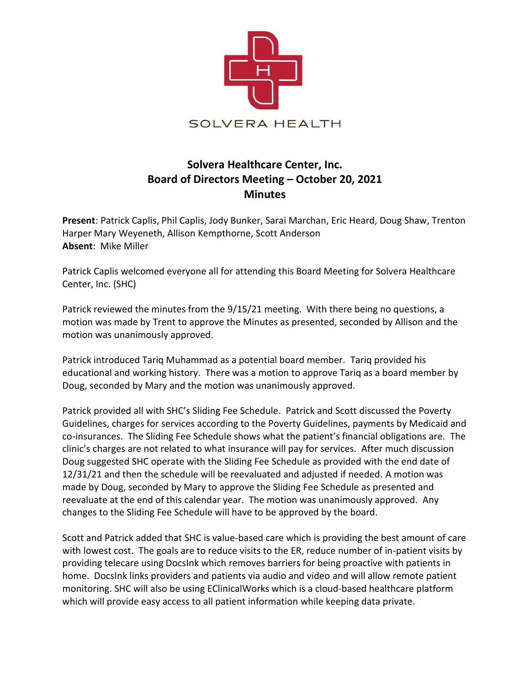

## **Solvera Healthcare Center, Inc. Board of Directors Meeting – October 20, 2021 Minutes**

**Present**: Patrick Caplis, Phil Caplis, Jody Bunker, Sarai Marchan, Eric Heard, Doug Shaw, Trenton Harper Mary Weyeneth, Allison Kempthorne, Scott Anderson **Absent**: Mike Miller

Patrick Caplis welcomed everyone all for attending this Board Meeting for Solvera Healthcare Center, Inc. (SHC)

Patrick reviewed the minutes from the 9/15/21 meeting. With there being no questions, a motion was made by Trent to approve the Minutes as presented, seconded by Allison and the motion was unanimously approved.

Patrick introduced Tariq Muhammad as a potential board member. Tariq provided his educational and working history. There was a motion to approve Tariq as a board member by Doug, seconded by Mary and the motion was unanimously approved.

Patrick provided all with SHC's Sliding Fee Schedule. Patrick and Scott discussed the Poverty Guidelines, charges for services according to the Poverty Guidelines, payments by Medicaid and co-insurances. The Sliding Fee Schedule shows what the patient's financial obligations are. The clinic's charges are not related to what insurance will pay for services. After much discussion Doug suggested SHC operate with the Sliding Fee Schedule as provided with the end date of 12/31/21 and then the schedule will be reevaluated and adjusted if needed. A motion was made by Doug, seconded by Mary to approve the Sliding Fee Schedule as presented and reevaluate at the end of this calendar year. The motion was unanimously approved. Any changes to the Sliding Fee Schedule will have to be approved by the board.

Scott and Patrick added that SHC is value-based care which is providing the best amount of care with lowest cost. The goals are to reduce visits to the ER, reduce number of in-patient visits by providing telecare using DocsInk which removes barriers for being proactive with patients in home. DocsInk links providers and patients via audio and video and will allow remote patient monitoring. SHC will also be using EClinicalWorks which is a cloud-based healthcare platform which will provide easy access to all patient information while keeping data private.